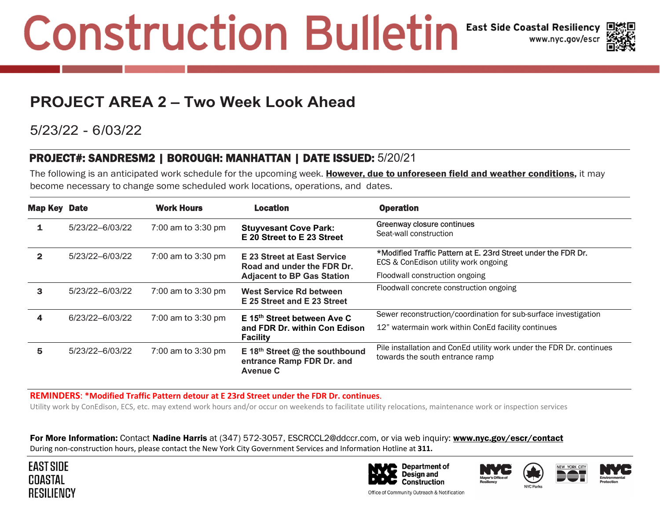## **Construction Bulletin East Side Coastal Resiliency**



### **PROJECT AREA 2 – Two Week Look Ahead**

#### 5/23/22 - 6/03/22

#### PROJECT#: SANDRESM2 | BOROUGH: MANHATTAN | DATE ISSUED: 5/20/21

The following is an anticipated work schedule for the upcoming week. However, due to unforeseen field and weather conditions, it may become necessary to change some scheduled work locations, operations, and dates.

| Map Key      | <b>Date</b>     | <b>Work Hours</b>            | <b>Location</b>                                                                                | <b>Operation</b>                                                                                        |
|--------------|-----------------|------------------------------|------------------------------------------------------------------------------------------------|---------------------------------------------------------------------------------------------------------|
| 1            | 5/23/22-6/03/22 | 7:00 am to 3:30 pm           | <b>Stuyvesant Cove Park:</b><br>E 20 Street to E 23 Street                                     | Greenway closure continues<br>Seat-wall construction                                                    |
| $\mathbf{2}$ | 5/23/22-6/03/22 | 7:00 am to $3:30 \text{ pm}$ | E 23 Street at East Service<br>Road and under the FDR Dr.<br><b>Adjacent to BP Gas Station</b> | *Modified Traffic Pattern at E. 23rd Street under the FDR Dr.<br>ECS & ConEdison utility work ongoing   |
|              |                 |                              |                                                                                                | Floodwall construction ongoing                                                                          |
| 3            | 5/23/22-6/03/22 | 7:00 am to 3:30 pm           | <b>West Service Rd between</b><br>E 25 Street and E 23 Street                                  | Floodwall concrete construction ongoing                                                                 |
| 4            | 6/23/22-6/03/22 | 7:00 am to $3:30 \text{ pm}$ | E 15 <sup>th</sup> Street between Ave C<br>and FDR Dr. within Con Edison<br><b>Facility</b>    | Sewer reconstruction/coordination for sub-surface investigation                                         |
|              |                 |                              |                                                                                                | 12" watermain work within ConEd facility continues                                                      |
| 5            | 5/23/22-6/03/22 | 7:00 am to $3:30 \text{ pm}$ | E 18 <sup>th</sup> Street $@$ the southbound<br>entrance Ramp FDR Dr. and<br><b>Avenue C</b>   | Pile installation and ConEd utility work under the FDR Dr. continues<br>towards the south entrance ramp |

**REMINDERS**: **\*Modified Traffic Pattern detour at E 23rd Street under the FDR Dr. continues**.

Utility work by ConEdison, ECS, etc. may extend work hours and/or occur on weekends to facilitate utility relocations, maintenance work or inspection services

**For More Information:** Contact **Nadine Harris** at (347) 572-3057, ESCRCCL2@ddccr.com, or via web inquiry: <u>www.nyc.gov/escr/contact</u> During non‐construction hours, please contact the New York City Government Services and Information Hotline at **311.**











Office of Community Outreach & Notification